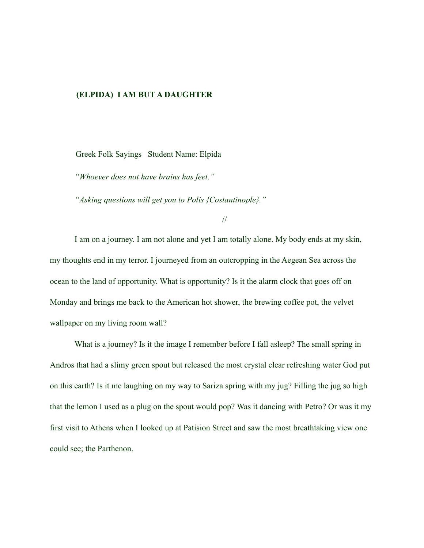#### **(ELPIDA) I AM BUT A DAUGHTER**

Greek Folk Sayings Student Name: Elpida

*"Whoever does not have brains has feet."* 

*"Asking questions will get you to Polis {Costantinople}."* 

//

I am on a journey. I am not alone and yet I am totally alone. My body ends at my skin, my thoughts end in my terror. I journeyed from an outcropping in the Aegean Sea across the ocean to the land of opportunity. What is opportunity? Is it the alarm clock that goes off on Monday and brings me back to the American hot shower, the brewing coffee pot, the velvet wallpaper on my living room wall?

What is a journey? Is it the image I remember before I fall asleep? The small spring in Andros that had a slimy green spout but released the most crystal clear refreshing water God put on this earth? Is it me laughing on my way to Sariza spring with my jug? Filling the jug so high that the lemon I used as a plug on the spout would pop? Was it dancing with Petro? Or was it my first visit to Athens when I looked up at Patision Street and saw the most breathtaking view one could see; the Parthenon.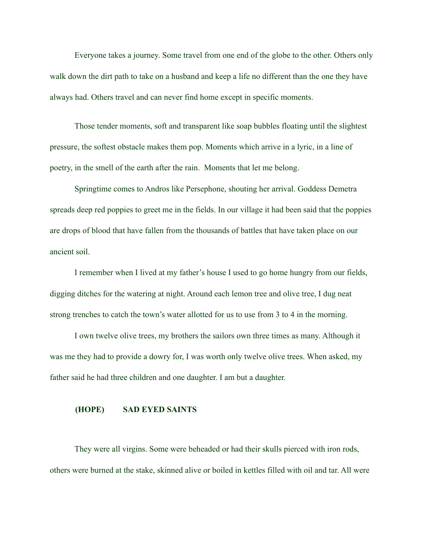Everyone takes a journey. Some travel from one end of the globe to the other. Others only walk down the dirt path to take on a husband and keep a life no different than the one they have always had. Others travel and can never find home except in specific moments.

Those tender moments, soft and transparent like soap bubbles floating until the slightest pressure, the softest obstacle makes them pop. Moments which arrive in a lyric, in a line of poetry, in the smell of the earth after the rain. Moments that let me belong.

Springtime comes to Andros like Persephone, shouting her arrival. Goddess Demetra spreads deep red poppies to greet me in the fields. In our village it had been said that the poppies are drops of blood that have fallen from the thousands of battles that have taken place on our ancient soil.

I remember when I lived at my father's house I used to go home hungry from our fields, digging ditches for the watering at night. Around each lemon tree and olive tree, I dug neat strong trenches to catch the town's water allotted for us to use from 3 to 4 in the morning.

I own twelve olive trees, my brothers the sailors own three times as many. Although it was me they had to provide a dowry for, I was worth only twelve olive trees. When asked, my father said he had three children and one daughter. I am but a daughter.

#### **(HOPE) SAD EYED SAINTS**

They were all virgins. Some were beheaded or had their skulls pierced with iron rods, others were burned at the stake, skinned alive or boiled in kettles filled with oil and tar. All were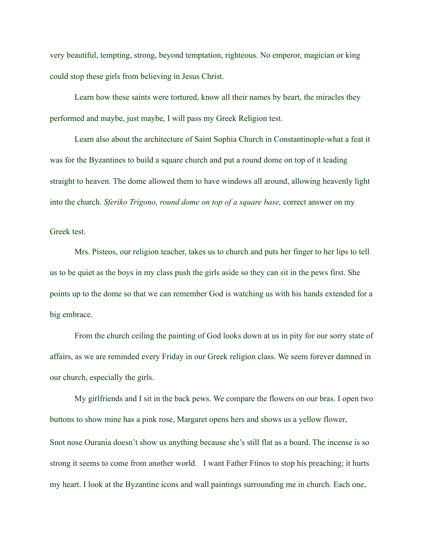very beautiful, tempting, strong, beyond temptation, righteous. No emperor, magician or king could stop these girls from believing in Jesus Christ.

Learn how these saints were tortured, know all their names by heart, the miracles they performed and maybe, just maybe, I will pass my Greek Religion test.

Learn also about the architecture of Saint Sophia Church in Constantinople-what a feat it was for the Byzantines to build a square church and put a round dome on top of it leading straight to heaven. The dome allowed them to have windows all around, allowing heavenly light into the church. *Sferiko Trigono, round dome on top of a square base,* correct answer on my

Greek test.

Mrs. Pisteos, our religion teacher, takes us to church and puts her finger to her lips to tell us to be quiet as the boys in my class push the girls aside so they can sit in the pews first. She points up to the dome so that we can remember God is watching us with his hands extended for a big embrace.

From the church ceiling the painting of God looks down at us in pity for our sorry state of affairs, as we are reminded every Friday in our Greek religion class. We seem forever damned in our church, especially the girls.

My girlfriends and I sit in the back pews. We compare the flowers on our bras. I open two buttons to show mine has a pink rose, Margaret opens hers and shows us a yellow flower, Snot nose Ourania doesn't show us anything because she's still flat as a board. The incense is so strong it seems to come from another world. I want Father Ftinos to stop his preaching; it hurts my heart. I look at the Byzantine icons and wall paintings surrounding me in church. Each one,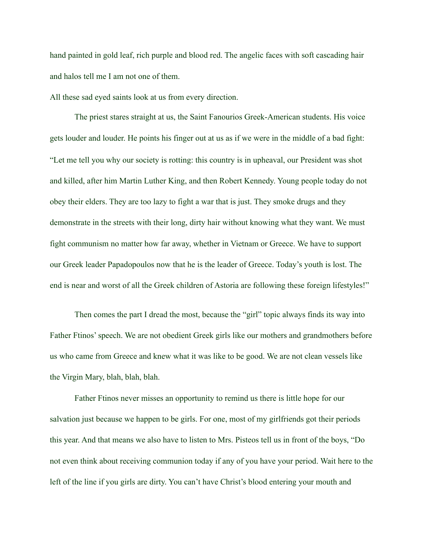hand painted in gold leaf, rich purple and blood red. The angelic faces with soft cascading hair and halos tell me I am not one of them.

All these sad eyed saints look at us from every direction.

The priest stares straight at us, the Saint Fanourios Greek-American students. His voice gets louder and louder. He points his finger out at us as if we were in the middle of a bad fight: "Let me tell you why our society is rotting: this country is in upheaval, our President was shot and killed, after him Martin Luther King, and then Robert Kennedy. Young people today do not obey their elders. They are too lazy to fight a war that is just. They smoke drugs and they demonstrate in the streets with their long, dirty hair without knowing what they want. We must fight communism no matter how far away, whether in Vietnam or Greece. We have to support our Greek leader Papadopoulos now that he is the leader of Greece. Today's youth is lost. The end is near and worst of all the Greek children of Astoria are following these foreign lifestyles!"

Then comes the part I dread the most, because the "girl" topic always finds its way into Father Ftinos' speech. We are not obedient Greek girls like our mothers and grandmothers before us who came from Greece and knew what it was like to be good. We are not clean vessels like the Virgin Mary, blah, blah, blah.

Father Ftinos never misses an opportunity to remind us there is little hope for our salvation just because we happen to be girls. For one, most of my girlfriends got their periods this year. And that means we also have to listen to Mrs. Pisteos tell us in front of the boys, "Do not even think about receiving communion today if any of you have your period. Wait here to the left of the line if you girls are dirty. You can't have Christ's blood entering your mouth and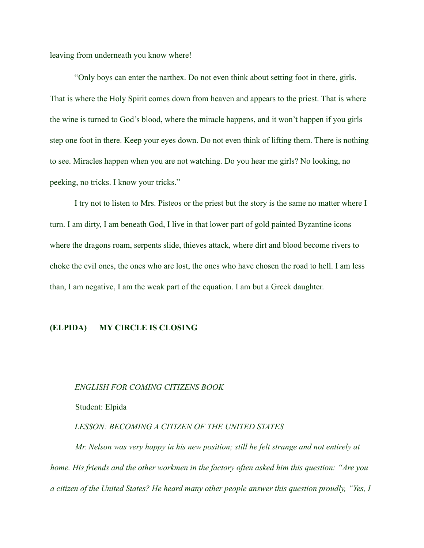leaving from underneath you know where!

"Only boys can enter the narthex. Do not even think about setting foot in there, girls. That is where the Holy Spirit comes down from heaven and appears to the priest. That is where the wine is turned to God's blood, where the miracle happens, and it won't happen if you girls step one foot in there. Keep your eyes down. Do not even think of lifting them. There is nothing to see. Miracles happen when you are not watching. Do you hear me girls? No looking, no peeking, no tricks. I know your tricks."

I try not to listen to Mrs. Pisteos or the priest but the story is the same no matter where I turn. I am dirty, I am beneath God, I live in that lower part of gold painted Byzantine icons where the dragons roam, serpents slide, thieves attack, where dirt and blood become rivers to choke the evil ones, the ones who are lost, the ones who have chosen the road to hell. I am less than, I am negative, I am the weak part of the equation. I am but a Greek daughter.

## **(ELPIDA) MY CIRCLE IS CLOSING**

#### *ENGLISH FOR COMING CITIZENS BOOK*

Student: Elpida

#### *LESSON: BECOMING A CITIZEN OF THE UNITED STATES*

*Mr. Nelson was very happy in his new position; still he felt strange and not entirely at home. His friends and the other workmen in the factory often asked him this question: "Are you a citizen of the United States? He heard many other people answer this question proudly, "Yes, I*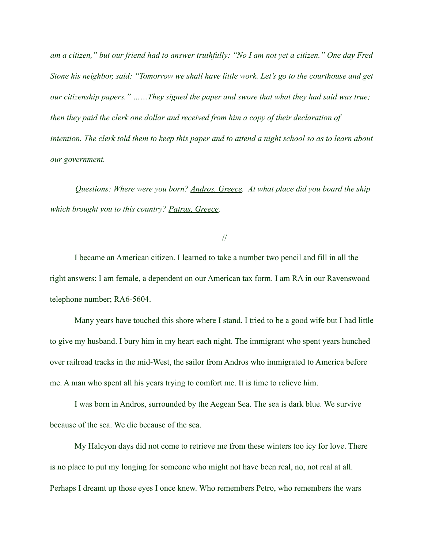*am a citizen," but our friend had to answer truthfully: "No I am not yet a citizen." One day Fred Stone his neighbor, said: "Tomorrow we shall have little work. Let's go to the courthouse and get our citizenship papers." ……They signed the paper and swore that what they had said was true; then they paid the clerk one dollar and received from him a copy of their declaration of intention. The clerk told them to keep this paper and to attend a night school so as to learn about our government.* 

*Questions: Where were you born? Andros, Greece. At what place did you board the ship which brought you to this country? Patras, Greece.* 

# //

I became an American citizen. I learned to take a number two pencil and fill in all the right answers: I am female, a dependent on our American tax form. I am RA in our Ravenswood telephone number; RA6-5604.

Many years have touched this shore where I stand. I tried to be a good wife but I had little to give my husband. I bury him in my heart each night. The immigrant who spent years hunched over railroad tracks in the mid-West, the sailor from Andros who immigrated to America before me. A man who spent all his years trying to comfort me. It is time to relieve him.

I was born in Andros, surrounded by the Aegean Sea. The sea is dark blue. We survive because of the sea. We die because of the sea.

My Halcyon days did not come to retrieve me from these winters too icy for love. There is no place to put my longing for someone who might not have been real, no, not real at all. Perhaps I dreamt up those eyes I once knew. Who remembers Petro, who remembers the wars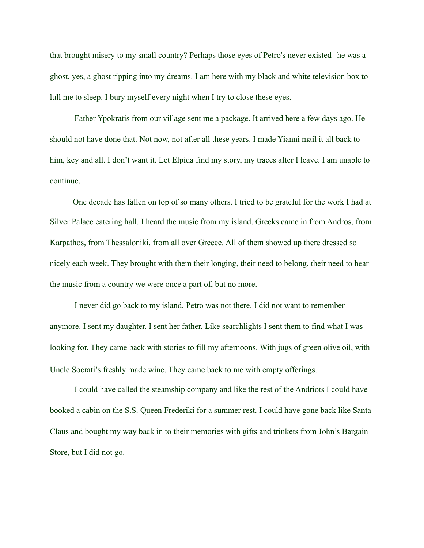that brought misery to my small country? Perhaps those eyes of Petro's never existed--he was a ghost, yes, a ghost ripping into my dreams. I am here with my black and white television box to lull me to sleep. I bury myself every night when I try to close these eyes.

Father Ypokratis from our village sent me a package. It arrived here a few days ago. He should not have done that. Not now, not after all these years. I made Yianni mail it all back to him, key and all. I don't want it. Let Elpida find my story, my traces after I leave. I am unable to continue.

One decade has fallen on top of so many others. I tried to be grateful for the work I had at Silver Palace catering hall. I heard the music from my island. Greeks came in from Andros, from Karpathos, from Thessaloniki, from all over Greece. All of them showed up there dressed so nicely each week. They brought with them their longing, their need to belong, their need to hear the music from a country we were once a part of, but no more.

I never did go back to my island. Petro was not there. I did not want to remember anymore. I sent my daughter. I sent her father. Like searchlights I sent them to find what I was looking for. They came back with stories to fill my afternoons. With jugs of green olive oil, with Uncle Socrati's freshly made wine. They came back to me with empty offerings.

I could have called the steamship company and like the rest of the Andriots I could have booked a cabin on the S.S. Queen Frederiki for a summer rest. I could have gone back like Santa Claus and bought my way back in to their memories with gifts and trinkets from John's Bargain Store, but I did not go.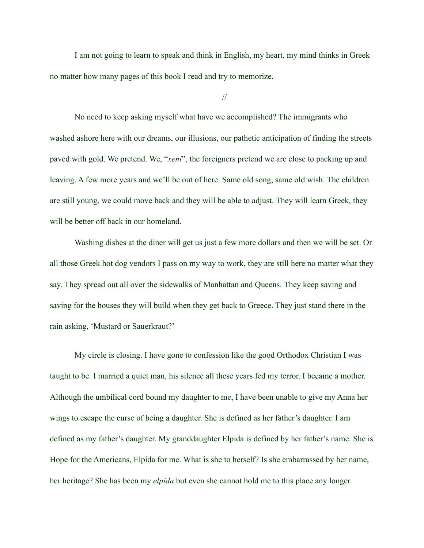I am not going to learn to speak and think in English, my heart, my mind thinks in Greek no matter how many pages of this book I read and try to memorize.

//

No need to keep asking myself what have we accomplished? The immigrants who washed ashore here with our dreams, our illusions, our pathetic anticipation of finding the streets paved with gold. We pretend. We, "*xeni*", the foreigners pretend we are close to packing up and leaving. A few more years and we'll be out of here. Same old song, same old wish. The children are still young, we could move back and they will be able to adjust. They will learn Greek, they will be better off back in our homeland.

Washing dishes at the diner will get us just a few more dollars and then we will be set. Or all those Greek hot dog vendors I pass on my way to work, they are still here no matter what they say. They spread out all over the sidewalks of Manhattan and Queens. They keep saving and saving for the houses they will build when they get back to Greece. They just stand there in the rain asking, 'Mustard or Sauerkraut?'

My circle is closing. I have gone to confession like the good Orthodox Christian I was taught to be. I married a quiet man, his silence all these years fed my terror. I became a mother. Although the umbilical cord bound my daughter to me, I have been unable to give my Anna her wings to escape the curse of being a daughter. She is defined as her father's daughter. I am defined as my father's daughter. My granddaughter Elpida is defined by her father's name. She is Hope for the Americans, Elpida for me. What is she to herself? Is she embarrassed by her name, her heritage? She has been my *elpida* but even she cannot hold me to this place any longer.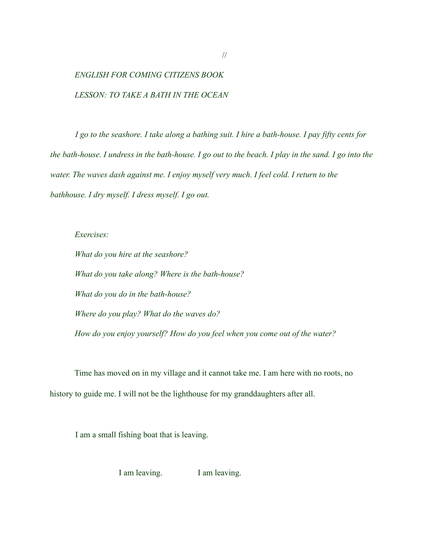# *ENGLISH FOR COMING CITIZENS BOOK LESSON: TO TAKE A BATH IN THE OCEAN*

*I go to the seashore. I take along a bathing suit. I hire a bath-house. I pay fifty cents for the bath-house. I undress in the bath-house. I go out to the beach. I play in the sand. I go into the water. The waves dash against me. I enjoy myself very much. I feel cold. I return to the bathhouse. I dry myself. I dress myself. I go out.* 

*Exercises:* 

*What do you hire at the seashore? What do you take along? Where is the bath-house? What do you do in the bath-house? Where do you play? What do the waves do? How do you enjoy yourself? How do you feel when you come out of the water?* 

Time has moved on in my village and it cannot take me. I am here with no roots, no history to guide me. I will not be the lighthouse for my granddaughters after all.

I am a small fishing boat that is leaving.

I am leaving. I am leaving.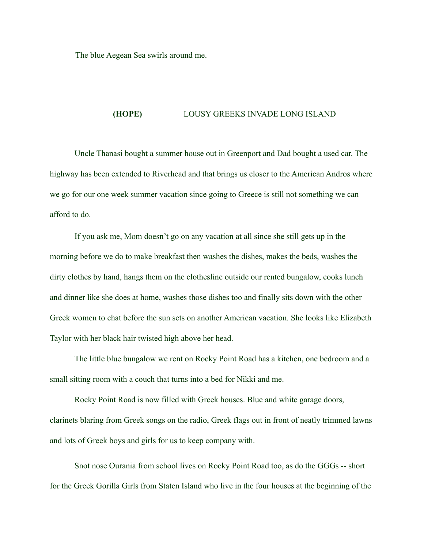The blue Aegean Sea swirls around me.

## **(HOPE)** LOUSY GREEKS INVADE LONG ISLAND

Uncle Thanasi bought a summer house out in Greenport and Dad bought a used car. The highway has been extended to Riverhead and that brings us closer to the American Andros where we go for our one week summer vacation since going to Greece is still not something we can afford to do.

If you ask me, Mom doesn't go on any vacation at all since she still gets up in the morning before we do to make breakfast then washes the dishes, makes the beds, washes the dirty clothes by hand, hangs them on the clothesline outside our rented bungalow, cooks lunch and dinner like she does at home, washes those dishes too and finally sits down with the other Greek women to chat before the sun sets on another American vacation. She looks like Elizabeth Taylor with her black hair twisted high above her head.

The little blue bungalow we rent on Rocky Point Road has a kitchen, one bedroom and a small sitting room with a couch that turns into a bed for Nikki and me.

Rocky Point Road is now filled with Greek houses. Blue and white garage doors, clarinets blaring from Greek songs on the radio, Greek flags out in front of neatly trimmed lawns and lots of Greek boys and girls for us to keep company with.

Snot nose Ourania from school lives on Rocky Point Road too, as do the GGGs -- short for the Greek Gorilla Girls from Staten Island who live in the four houses at the beginning of the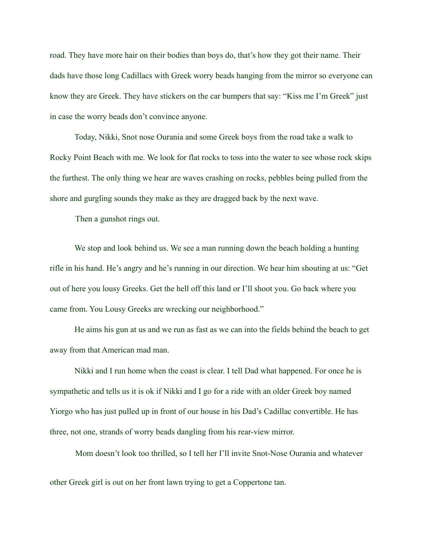road. They have more hair on their bodies than boys do, that's how they got their name. Their dads have those long Cadillacs with Greek worry beads hanging from the mirror so everyone can know they are Greek. They have stickers on the car bumpers that say: "Kiss me I'm Greek" just in case the worry beads don't convince anyone.

Today, Nikki, Snot nose Ourania and some Greek boys from the road take a walk to Rocky Point Beach with me. We look for flat rocks to toss into the water to see whose rock skips the furthest. The only thing we hear are waves crashing on rocks, pebbles being pulled from the shore and gurgling sounds they make as they are dragged back by the next wave.

Then a gunshot rings out.

We stop and look behind us. We see a man running down the beach holding a hunting rifle in his hand. He's angry and he's running in our direction. We hear him shouting at us: "Get out of here you lousy Greeks. Get the hell off this land or I'll shoot you. Go back where you came from. You Lousy Greeks are wrecking our neighborhood."

He aims his gun at us and we run as fast as we can into the fields behind the beach to get away from that American mad man.

Nikki and I run home when the coast is clear. I tell Dad what happened. For once he is sympathetic and tells us it is ok if Nikki and I go for a ride with an older Greek boy named Yiorgo who has just pulled up in front of our house in his Dad's Cadillac convertible. He has three, not one, strands of worry beads dangling from his rear-view mirror.

Mom doesn't look too thrilled, so I tell her I'll invite Snot-Nose Ourania and whatever other Greek girl is out on her front lawn trying to get a Coppertone tan.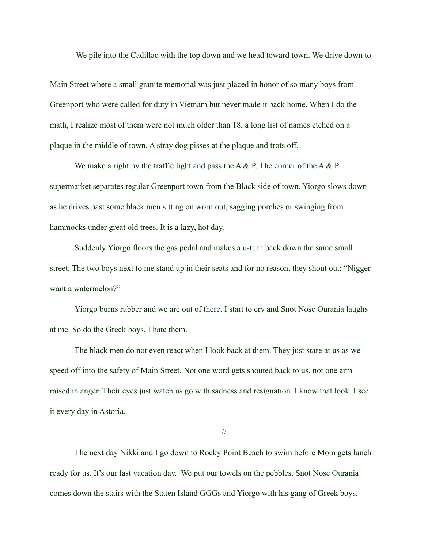We pile into the Cadillac with the top down and we head toward town. We drive down to

Main Street where a small granite memorial was just placed in honor of so many boys from Greenport who were called for duty in Vietnam but never made it back home. When I do the math, I realize most of them were not much older than 18, a long list of names etched on a plaque in the middle of town. A stray dog pisses at the plaque and trots off.

We make a right by the traffic light and pass the A  $\&$  P. The corner of the A  $\&$  P supermarket separates regular Greenport town from the Black side of town. Yiorgo slows down as he drives past some black men sitting on worn out, sagging porches or swinging from hammocks under great old trees. It is a lazy, hot day.

Suddenly Yiorgo floors the gas pedal and makes a u-turn back down the same small street. The two boys next to me stand up in their seats and for no reason, they shout out: "Nigger want a watermelon?"

Yiorgo burns rubber and we are out of there. I start to cry and Snot Nose Ourania laughs at me. So do the Greek boys. I hate them.

The black men do not even react when I look back at them. They just stare at us as we speed off into the safety of Main Street. Not one word gets shouted back to us, not one arm raised in anger. Their eyes just watch us go with sadness and resignation. I know that look. I see it every day in Astoria.

//

The next day Nikki and I go down to Rocky Point Beach to swim before Mom gets lunch ready for us. It's our last vacation day. We put our towels on the pebbles. Snot Nose Ourania comes down the stairs with the Staten Island GGGs and Yiorgo with his gang of Greek boys.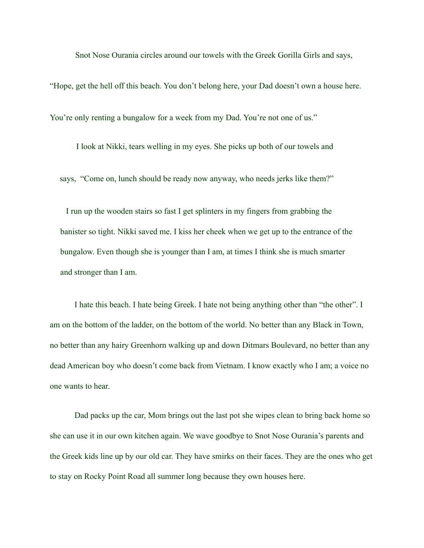Snot Nose Ourania circles around our towels with the Greek Gorilla Girls and says,

"Hope, get the hell off this beach. You don't belong here, your Dad doesn't own a house here. You're only renting a bungalow for a week from my Dad. You're not one of us."

I look at Nikki, tears welling in my eyes. She picks up both of our towels and says, "Come on, lunch should be ready now anyway, who needs jerks like them?"

 I run up the wooden stairs so fast I get splinters in my fingers from grabbing the banister so tight. Nikki saved me. I kiss her cheek when we get up to the entrance of the bungalow. Even though she is younger than I am, at times I think she is much smarter and stronger than I am.

I hate this beach. I hate being Greek. I hate not being anything other than "the other". I am on the bottom of the ladder, on the bottom of the world. No better than any Black in Town, no better than any hairy Greenhorn walking up and down Ditmars Boulevard, no better than any dead American boy who doesn't come back from Vietnam. I know exactly who I am; a voice no one wants to hear.

Dad packs up the car, Mom brings out the last pot she wipes clean to bring back home so she can use it in our own kitchen again. We wave goodbye to Snot Nose Ourania's parents and the Greek kids line up by our old car. They have smirks on their faces. They are the ones who get to stay on Rocky Point Road all summer long because they own houses here.